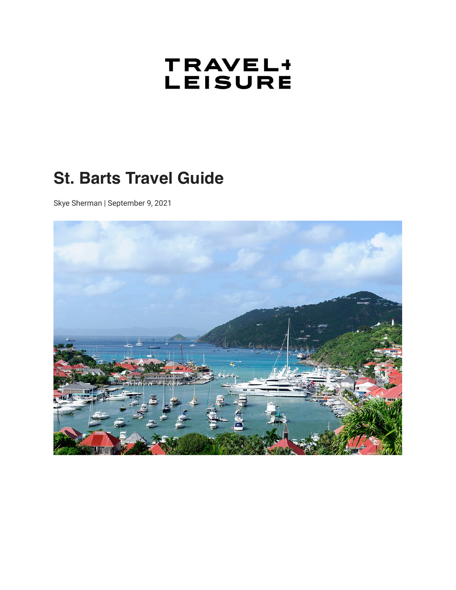# TRAVEL+<br>LEISURE

## **St. Barts Travel Guide**

Skye Sherman | September 9, 2021

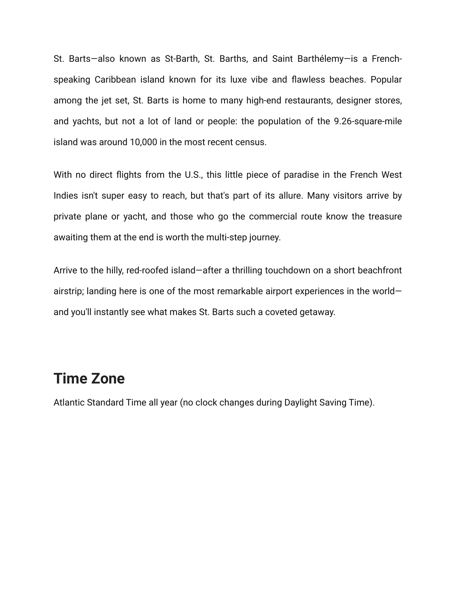St. Barts—also known as St-Barth, St. Barths, and Saint Barthélemy—is a Frenchspeaking Caribbean island known for its luxe vibe and flawless beaches. Popular among the jet set, St. Barts is home to many high-end restaurants, designer stores, and yachts, but not a lot of land or people: the population of the 9.26-square-mile island was around 10,000 in the most recent census.

With no direct flights from the U.S., this little piece of paradise in the French West Indies isn't super easy to reach, but that's part of its allure. Many visitors arrive by private plane or yacht, and those who go the commercial route know the treasure awaiting them at the end is worth the multi-step journey.

Arrive to the hilly, red-roofed island—after a thrilling touchdown on a short beachfront airstrip; landing here is one of the most remarkable airport experiences in the world and you'll instantly see what makes St. Barts such a coveted getaway.

#### **Time Zone**

Atlantic Standard Time all year (no clock changes during Daylight Saving Time).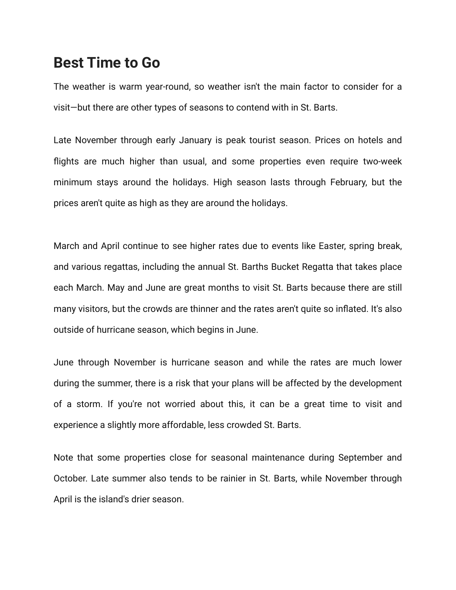#### **Best Time to Go**

The weather is warm year-round, so weather isn't the main factor to consider for a visit—but there are other types of seasons to contend with in St. Barts.

Late November through early January is peak tourist season. Prices on hotels and flights are much higher than usual, and some properties even require two-week minimum stays around the holidays. High season lasts through February, but the prices aren't quite as high as they are around the holidays.

March and April continue to see higher rates due to events like Easter, spring break, and various regattas, including the annual St. Barths Bucket Regatta that takes place each March. May and June are great months to visit St. Barts because there are still many visitors, but the crowds are thinner and the rates aren't quite so inflated. It's also outside of hurricane season, which begins in June.

June through November is hurricane season and while the rates are much lower during the summer, there is a risk that your plans will be affected by the development of a storm. If you're not worried about this, it can be a great time to visit and experience a slightly more affordable, less crowded St. Barts.

Note that some properties close for seasonal maintenance during September and October. Late summer also tends to be rainier in St. Barts, while November through April is the island's drier season.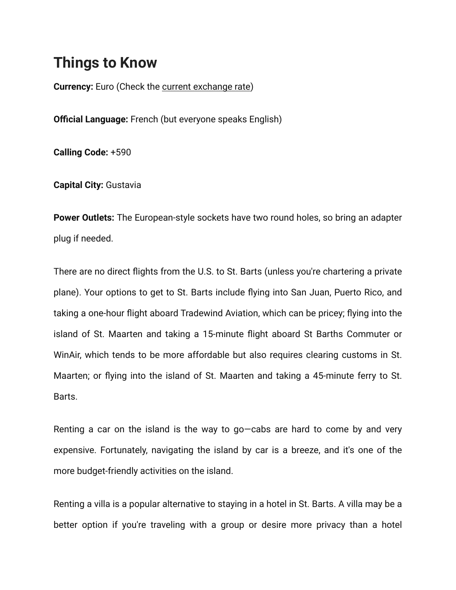## **Things to Know**

**Currency:** Euro (Check the [current exchange rate](https://www.xe.com/))

**Official Language:** French (but everyone speaks English)

**Calling Code:** +590

**Capital City:** Gustavia

**Power Outlets:** The European-style sockets have two round holes, so bring an adapter plug if needed.

There are no direct flights from the U.S. to St. Barts (unless you're chartering a private plane). Your options to get to St. Barts include flying into San Juan, Puerto Rico, and taking a one-hour flight aboard Tradewind Aviation, which can be pricey; flying into the island of St. Maarten and taking a 15-minute flight aboard St Barths Commuter or WinAir, which tends to be more affordable but also requires clearing customs in St. Maarten; or flying into the island of St. Maarten and taking a 45-minute ferry to St. Barts.

Renting a car on the island is the way to go—cabs are hard to come by and very expensive. Fortunately, navigating the island by car is a breeze, and it's one of the more budget-friendly activities on the island.

Renting a villa is a popular alternative to staying in a hotel in St. Barts. A villa may be a better option if you're traveling with a group or desire more privacy than a hotel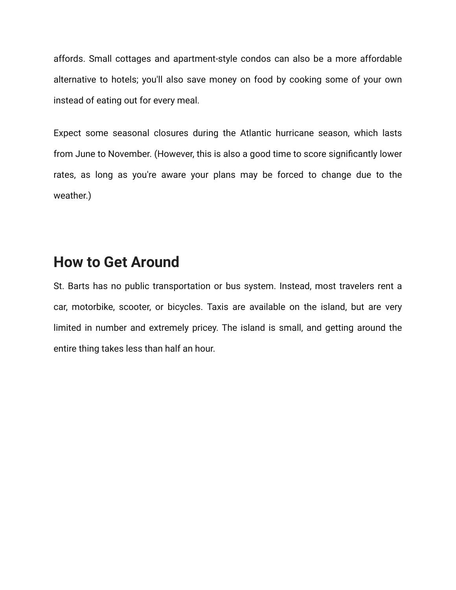affords. Small cottages and apartment-style condos can also be a more affordable alternative to hotels; you'll also save money on food by cooking some of your own instead of eating out for every meal.

Expect some seasonal closures during the Atlantic hurricane season, which lasts from June to November. (However, this is also a good time to score significantly lower rates, as long as you're aware your plans may be forced to change due to the weather.)

#### **How to Get Around**

St. Barts has no public transportation or bus system. Instead, most travelers rent a car, motorbike, scooter, or bicycles. Taxis are available on the island, but are very limited in number and extremely pricey. The island is small, and getting around the entire thing takes less than half an hour.